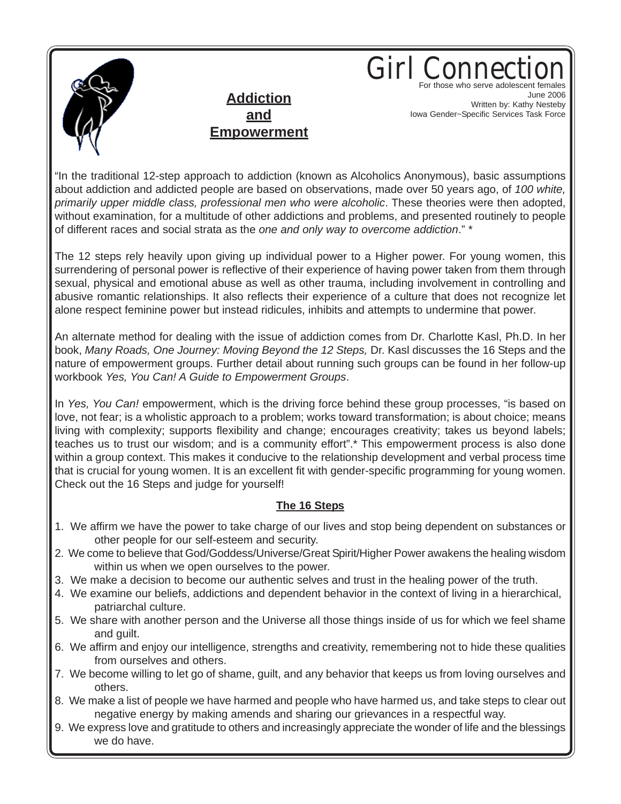

**Addiction and Empowerment** Girl Conne For those who serve adolescent females June 2006 Written by: Kathy Nesteby Iowa Gender~Specific Services Task Force

"In the traditional 12-step approach to addiction (known as Alcoholics Anonymous), basic assumptions about addiction and addicted people are based on observations, made over 50 years ago, of *100 white, primarily upper middle class, professional men who were alcoholic*. These theories were then adopted, without examination, for a multitude of other addictions and problems, and presented routinely to people of different races and social strata as the *one and only way to overcome addiction*." \*

The 12 steps rely heavily upon giving up individual power to a Higher power. For young women, this surrendering of personal power is reflective of their experience of having power taken from them through sexual, physical and emotional abuse as well as other trauma, including involvement in controlling and abusive romantic relationships. It also reflects their experience of a culture that does not recognize let alone respect feminine power but instead ridicules, inhibits and attempts to undermine that power.

An alternate method for dealing with the issue of addiction comes from Dr. Charlotte Kasl, Ph.D. In her book, *Many Roads, One Journey: Moving Beyond the 12 Steps,* Dr. Kasl discusses the 16 Steps and the nature of empowerment groups. Further detail about running such groups can be found in her follow-up workbook *Yes, You Can! A Guide to Empowerment Groups*.

In *Yes, You Can!* empowerment, which is the driving force behind these group processes, "is based on love, not fear; is a wholistic approach to a problem; works toward transformation; is about choice; means living with complexity; supports flexibility and change; encourages creativity; takes us beyond labels; teaches us to trust our wisdom; and is a community effort".\* This empowerment process is also done within a group context. This makes it conducive to the relationship development and verbal process time that is crucial for young women. It is an excellent fit with gender-specific programming for young women. Check out the 16 Steps and judge for yourself!

## **The 16 Steps**

- 1. We affirm we have the power to take charge of our lives and stop being dependent on substances or other people for our self-esteem and security.
- 2. We come to believe that God/Goddess/Universe/Great Spirit/Higher Power awakens the healing wisdom within us when we open ourselves to the power.
- 3. We make a decision to become our authentic selves and trust in the healing power of the truth.
- 4. We examine our beliefs, addictions and dependent behavior in the context of living in a hierarchical, patriarchal culture.
- 5. We share with another person and the Universe all those things inside of us for which we feel shame and guilt.
- 6. We affirm and enjoy our intelligence, strengths and creativity, remembering not to hide these qualities from ourselves and others.
- 7. We become willing to let go of shame, guilt, and any behavior that keeps us from loving ourselves and others.
- 8. We make a list of people we have harmed and people who have harmed us, and take steps to clear out negative energy by making amends and sharing our grievances in a respectful way.
- 9. We express love and gratitude to others and increasingly appreciate the wonder of life and the blessings we do have.